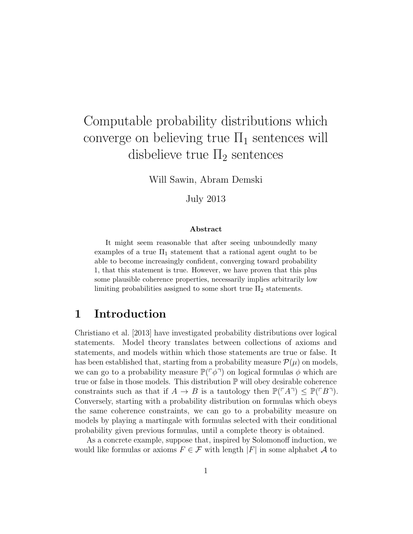# Computable probability distributions which converge on believing true  $\Pi_1$  sentences will disbelieve true  $\Pi_2$  sentences

Will Sawin, Abram Demski

July 2013

#### Abstract

It might seem reasonable that after seeing unboundedly many examples of a true  $\Pi_1$  statement that a rational agent ought to be able to become increasingly confident, converging toward probability 1, that this statement is true. However, we have proven that this plus some plausible coherence properties, necessarily implies arbitrarily low limiting probabilities assigned to some short true  $\Pi_2$  statements.

## 1 Introduction

Christiano et al. [2013] have investigated probability distributions over logical statements. Model theory translates between collections of axioms and statements, and models within which those statements are true or false. It has been established that, starting from a probability measure  $\mathcal{P}(\mu)$  on models, we can go to a probability measure  $\mathbb{P}(\lceil \phi \rceil)$  on logical formulas  $\phi$  which are true or false in those models. This distribution  $\mathbb P$  will obey desirable coherence constraints such as that if  $A \to B$  is a tautology then  $\mathbb{P}(\ulcorner A\urcorner) \leq \mathbb{P}(\ulcorner B\urcorner)$ . Conversely, starting with a probability distribution on formulas which obeys the same coherence constraints, we can go to a probability measure on models by playing a martingale with formulas selected with their conditional probability given previous formulas, until a complete theory is obtained.

As a concrete example, suppose that, inspired by Solomonoff induction, we would like formulas or axioms  $F \in \mathcal{F}$  with length |F| in some alphabet A to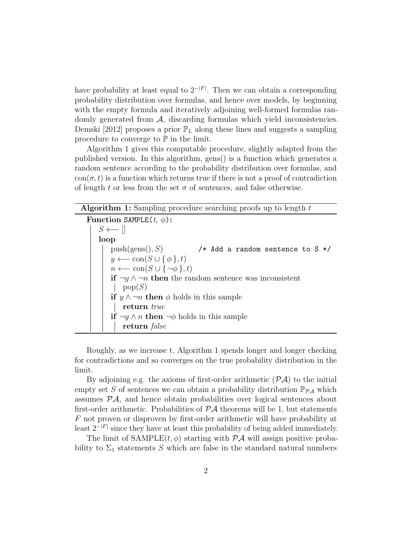have probability at least equal to  $2^{-|F|}$ . Then we can obtain a corresponding probability distribution over formulas, and hence over models, by beginning with the empty formula and iteratively adjoining well-formed formulas randomly generated from  $A$ , discarding formulas which yield inconsistencies. Demski [2012] proposes a prior  $\mathbb{P}_L$  along these lines and suggests a sampling procedure to converge to  $\mathbb P$  in the limit.

Algorithm 1 gives this computable procedure, slightly adapted from the published version. In this algorithm, gens() is a function which generates a random sentence according to the probability distribution over formulas, and  $\text{con}(\sigma, t)$  is a function which returns true if there is not a proof of contradiction of length t or less from the set  $\sigma$  of sentences, and false otherwise.

| <b>Algorithm 1:</b> Sampling procedure searching proofs up to length $t$   |
|----------------------------------------------------------------------------|
| Function SAMPLE $(t, \phi)$ :                                              |
| $S \longleftarrow \Box$                                                    |
| loop                                                                       |
| push(gens(), S)<br>/* Add a random sentence to $S * /$                     |
| $y \longleftarrow \text{con}(S \cup \{\phi\}, t)$                          |
| $n \longleftarrow \text{con}(S \cup \{\neg \phi\}, t)$                     |
| <b>if</b> $\neg y \wedge \neg n$ then the random sentence was inconsistent |
| pop(S)                                                                     |
| <b>if</b> $y \wedge \neg n$ then $\phi$ holds in this sample               |
| return true                                                                |
| <b>if</b> $\neg y \wedge n$ <b>then</b> $\neg \phi$ holds in this sample   |
| return false                                                               |

Roughly, as we increase t, Algorithm 1 spends longer and longer checking for contradictions and so converges on the true probability distribution in the limit.

By adjoining e.g. the axioms of first-order arithmetic  $(\mathcal{P} \mathcal{A})$  to the initial empty set S of sentences we can obtain a probability distribution  $\mathbb{P}_{\mathcal{P} A}$  which assumes  $\mathcal{P}A$ , and hence obtain probabilities over logical sentences about first-order arithmetic. Probabilities of  $P\mathcal{A}$  theorems will be 1, but statements F not proven or disproven by first-order arithmetic will have probability at least  $2^{-|F|}$  since they have at least this probability of being added immediately.

The limit of SAMPLE $(t, \phi)$  starting with  $\mathcal{P}A$  will assign positive probability to  $\Sigma_1$  statements S which are false in the standard natural numbers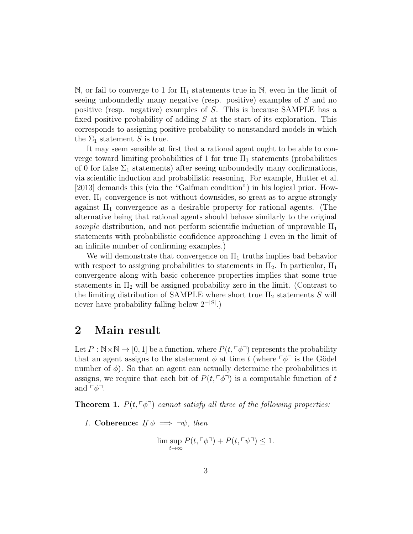N, or fail to converge to 1 for  $\Pi_1$  statements true in N, even in the limit of seeing unboundedly many negative (resp. positive) examples of S and no positive (resp. negative) examples of S. This is because SAMPLE has a fixed positive probability of adding  $S$  at the start of its exploration. This corresponds to assigning positive probability to nonstandard models in which the  $\Sigma_1$  statement S is true.

It may seem sensible at first that a rational agent ought to be able to converge toward limiting probabilities of 1 for true  $\Pi_1$  statements (probabilities of 0 for false  $\Sigma_1$  statements) after seeing unboundedly many confirmations, via scientific induction and probabilistic reasoning. For example, Hutter et al. [2013] demands this (via the "Gaifman condition") in his logical prior. However,  $\Pi_1$  convergence is not without downsides, so great as to argue strongly against  $\Pi_1$  convergence as a desirable property for rational agents. (The alternative being that rational agents should behave similarly to the original sample distribution, and not perform scientific induction of unprovable  $\Pi_1$ statements with probabilistic confidence approaching 1 even in the limit of an infinite number of confirming examples.)

We will demonstrate that convergence on  $\Pi_1$  truths implies bad behavior with respect to assigning probabilities to statements in  $\Pi_2$ . In particular,  $\Pi_1$ convergence along with basic coherence properties implies that some true statements in  $\Pi_2$  will be assigned probability zero in the limit. (Contrast to the limiting distribution of SAMPLE where short true  $\Pi_2$  statements S will never have probability falling below  $2^{-|S|}$ .)

#### 2 Main result

Let  $P : \mathbb{N} \times \mathbb{N} \to [0, 1]$  be a function, where  $P(t, \lceil \phi \rceil)$  represents the probability that an agent assigns to the statement  $\phi$  at time t (where  $\phi^{-1}$  is the Gödel number of  $\phi$ ). So that an agent can actually determine the probabilities it assigns, we require that each bit of  $P(t, \lceil \phi \rceil)$  is a computable function of t and  $\lceil \phi \rceil$ .

**Theorem 1.**  $P(t, \lceil \phi \rceil)$  cannot satisfy all three of the following properties:

1. Coherence: If  $\phi \implies \neg \psi$ , then

$$
\limsup_{t \to \infty} P(t, \lceil \phi \rceil) + P(t, \lceil \psi \rceil) \le 1.
$$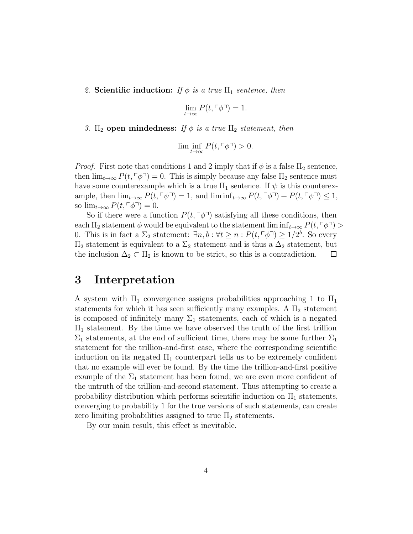2. Scientific induction: If  $\phi$  is a true  $\Pi_1$  sentence, then

$$
\lim_{t \to \infty} P(t, \ulcorner \phi \urcorner) = 1.
$$

3.  $\Pi_2$  open mindedness: If  $\phi$  is a true  $\Pi_2$  statement, then

$$
\lim\inf_{t\to\infty}P(t,\ulcorner\phi\urcorner)>0.
$$

*Proof.* First note that conditions 1 and 2 imply that if  $\phi$  is a false  $\Pi_2$  sentence, then  $\lim_{t\to\infty} P(t, \lceil \phi \rceil) = 0$ . This is simply because any false  $\Pi_2$  sentence must have some counterexample which is a true  $\Pi_1$  sentence. If  $\psi$  is this counterexample, then  $\lim_{t\to\infty} P(t, \lceil \psi \rceil) = 1$ , and  $\liminf_{t\to\infty} P(t, \lceil \psi \rceil) + P(t, \lceil \psi \rceil) \leq 1$ , so  $\lim_{t\to\infty} P(t, \lceil \phi \rceil) = 0.$ 

So if there were a function  $P(t, \lceil \phi \rceil)$  satisfying all these conditions, then each  $\Pi_2$  statement  $\phi$  would be equivalent to the statement lim inf $f_{t\to\infty}P(t,\lceil \phi \rceil)$ 0. This is in fact a  $\Sigma_2$  statement:  $\exists n, b : \forall t \geq n : P(t, \lceil \phi \rceil) \geq 1/2^b$ . So every  $\Pi_2$  statement is equivalent to a  $\Sigma_2$  statement and is thus a  $\Delta_2$  statement, but the inclusion  $\Delta_2 \subset \Pi_2$  is known to be strict, so this is a contradiction.  $\Box$ 

### 3 Interpretation

A system with  $\Pi_1$  convergence assigns probabilities approaching 1 to  $\Pi_1$ statements for which it has seen sufficiently many examples. A  $\Pi_2$  statement is composed of infinitely many  $\Sigma_1$  statements, each of which is a negated  $\Pi_1$  statement. By the time we have observed the truth of the first trillion  $\Sigma_1$  statements, at the end of sufficient time, there may be some further  $\Sigma_1$ statement for the trillion-and-first case, where the corresponding scientific induction on its negated  $\Pi_1$  counterpart tells us to be extremely confident that no example will ever be found. By the time the trillion-and-first positive example of the  $\Sigma_1$  statement has been found, we are even more confident of the untruth of the trillion-and-second statement. Thus attempting to create a probability distribution which performs scientific induction on  $\Pi_1$  statements, converging to probability 1 for the true versions of such statements, can create zero limiting probabilities assigned to true  $\Pi_2$  statements.

By our main result, this effect is inevitable.